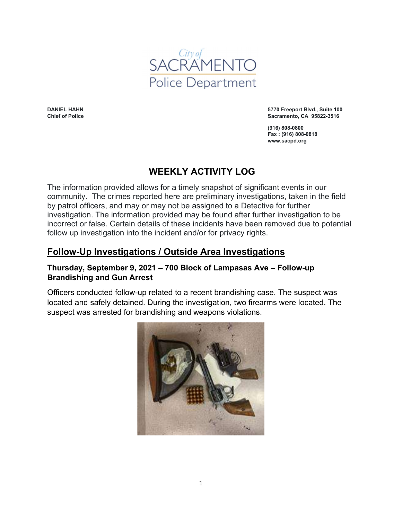

DANIEL HAHN Chief of Police 5770 Freeport Blvd., Suite 100 Sacramento, CA 95822-3516

(916) 808-0800 Fax : (916) 808-0818 www.sacpd.org

# WEEKLY ACTIVITY LOG

The information provided allows for a timely snapshot of significant events in our community. The crimes reported here are preliminary investigations, taken in the field by patrol officers, and may or may not be assigned to a Detective for further investigation. The information provided may be found after further investigation to be incorrect or false. Certain details of these incidents have been removed due to potential follow up investigation into the incident and/or for privacy rights.

# Follow-Up Investigations / Outside Area Investigations

#### Thursday, September 9, 2021 – 700 Block of Lampasas Ave – Follow-up Brandishing and Gun Arrest

Officers conducted follow-up related to a recent brandishing case. The suspect was located and safely detained. During the investigation, two firearms were located. The suspect was arrested for brandishing and weapons violations.

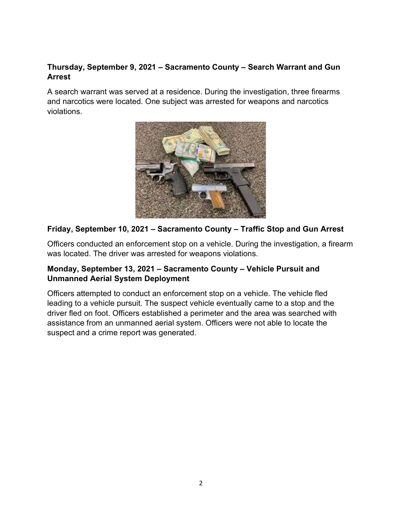## Thursday, September 9, 2021 – Sacramento County – Search Warrant and Gun Arrest

A search warrant was served at a residence. During the investigation, three firearms and narcotics were located. One subject was arrested for weapons and narcotics violations.



# Friday, September 10, 2021 – Sacramento County – Traffic Stop and Gun Arrest

Officers conducted an enforcement stop on a vehicle. During the investigation, a firearm was located. The driver was arrested for weapons violations.

### Monday, September 13, 2021 – Sacramento County – Vehicle Pursuit and Unmanned Aerial System Deployment

Officers attempted to conduct an enforcement stop on a vehicle. The vehicle fled leading to a vehicle pursuit. The suspect vehicle eventually came to a stop and the driver fled on foot. Officers established a perimeter and the area was searched with assistance from an unmanned aerial system. Officers were not able to locate the suspect and a crime report was generated.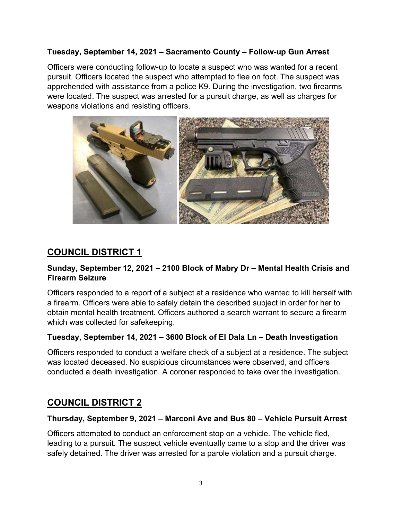#### Tuesday, September 14, 2021 – Sacramento County – Follow-up Gun Arrest

Officers were conducting follow-up to locate a suspect who was wanted for a recent pursuit. Officers located the suspect who attempted to flee on foot. The suspect was apprehended with assistance from a police K9. During the investigation, two firearms were located. The suspect was arrested for a pursuit charge, as well as charges for weapons violations and resisting officers.



# COUNCIL DISTRICT 1

### Sunday, September 12, 2021 – 2100 Block of Mabry Dr – Mental Health Crisis and Firearm Seizure

Officers responded to a report of a subject at a residence who wanted to kill herself with a firearm. Officers were able to safely detain the described subject in order for her to obtain mental health treatment. Officers authored a search warrant to secure a firearm which was collected for safekeeping.

### Tuesday, September 14, 2021 – 3600 Block of El Dala Ln – Death Investigation

Officers responded to conduct a welfare check of a subject at a residence. The subject was located deceased. No suspicious circumstances were observed, and officers conducted a death investigation. A coroner responded to take over the investigation.

# COUNCIL DISTRICT 2

#### Thursday, September 9, 2021 – Marconi Ave and Bus 80 – Vehicle Pursuit Arrest

Officers attempted to conduct an enforcement stop on a vehicle. The vehicle fled, leading to a pursuit. The suspect vehicle eventually came to a stop and the driver was safely detained. The driver was arrested for a parole violation and a pursuit charge.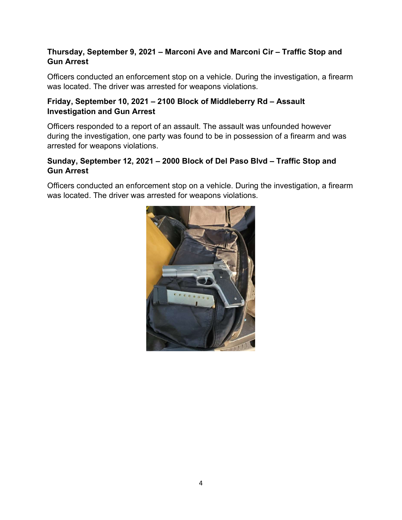# Thursday, September 9, 2021 – Marconi Ave and Marconi Cir – Traffic Stop and Gun Arrest

Officers conducted an enforcement stop on a vehicle. During the investigation, a firearm was located. The driver was arrested for weapons violations.

# Friday, September 10, 2021 – 2100 Block of Middleberry Rd – Assault Investigation and Gun Arrest

Officers responded to a report of an assault. The assault was unfounded however during the investigation, one party was found to be in possession of a firearm and was arrested for weapons violations.

# Sunday, September 12, 2021 – 2000 Block of Del Paso Blvd – Traffic Stop and Gun Arrest

Officers conducted an enforcement stop on a vehicle. During the investigation, a firearm was located. The driver was arrested for weapons violations.

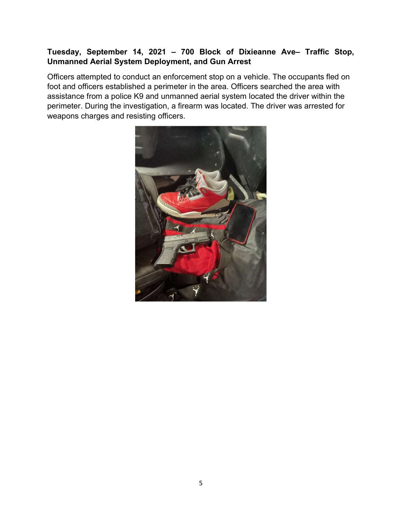## Tuesday, September 14, 2021 – 700 Block of Dixieanne Ave– Traffic Stop, Unmanned Aerial System Deployment, and Gun Arrest

Officers attempted to conduct an enforcement stop on a vehicle. The occupants fled on foot and officers established a perimeter in the area. Officers searched the area with assistance from a police K9 and unmanned aerial system located the driver within the perimeter. During the investigation, a firearm was located. The driver was arrested for weapons charges and resisting officers.

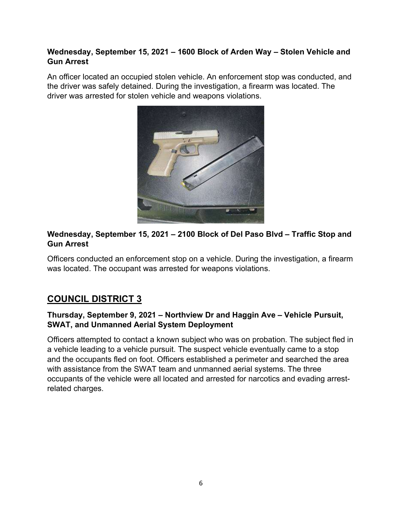## Wednesday, September 15, 2021 – 1600 Block of Arden Way – Stolen Vehicle and Gun Arrest

An officer located an occupied stolen vehicle. An enforcement stop was conducted, and the driver was safely detained. During the investigation, a firearm was located. The driver was arrested for stolen vehicle and weapons violations.



# Wednesday, September 15, 2021 – 2100 Block of Del Paso Blvd – Traffic Stop and Gun Arrest

Officers conducted an enforcement stop on a vehicle. During the investigation, a firearm was located. The occupant was arrested for weapons violations.

# COUNCIL DISTRICT 3

# Thursday, September 9, 2021 – Northview Dr and Haggin Ave – Vehicle Pursuit, SWAT, and Unmanned Aerial System Deployment

Officers attempted to contact a known subject who was on probation. The subject fled in a vehicle leading to a vehicle pursuit. The suspect vehicle eventually came to a stop and the occupants fled on foot. Officers established a perimeter and searched the area with assistance from the SWAT team and unmanned aerial systems. The three occupants of the vehicle were all located and arrested for narcotics and evading arrestrelated charges.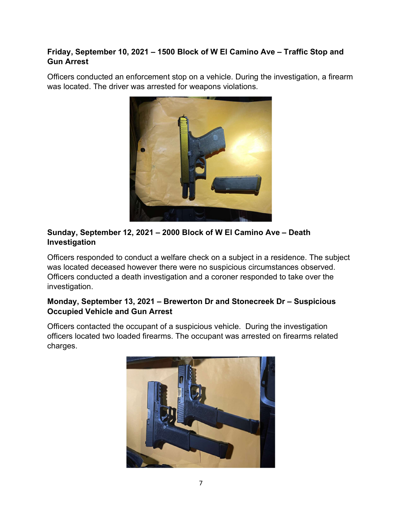# Friday, September 10, 2021 – 1500 Block of W El Camino Ave – Traffic Stop and Gun Arrest

Officers conducted an enforcement stop on a vehicle. During the investigation, a firearm was located. The driver was arrested for weapons violations.



# Sunday, September 12, 2021 – 2000 Block of W El Camino Ave – Death Investigation

Officers responded to conduct a welfare check on a subject in a residence. The subject was located deceased however there were no suspicious circumstances observed. Officers conducted a death investigation and a coroner responded to take over the investigation.

# Monday, September 13, 2021 – Brewerton Dr and Stonecreek Dr – Suspicious Occupied Vehicle and Gun Arrest

Officers contacted the occupant of a suspicious vehicle. During the investigation officers located two loaded firearms. The occupant was arrested on firearms related charges.

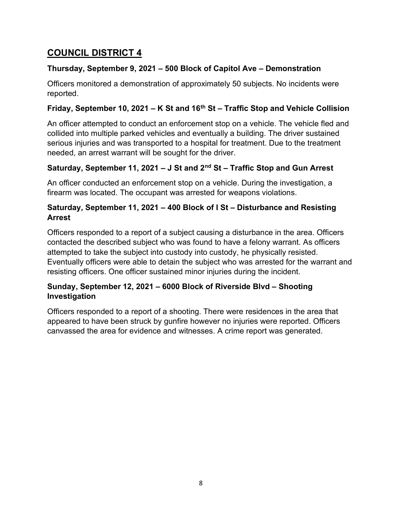# Thursday, September 9, 2021 – 500 Block of Capitol Ave – Demonstration

Officers monitored a demonstration of approximately 50 subjects. No incidents were reported.

# Friday, September 10, 2021 – K St and  $16<sup>th</sup>$  St – Traffic Stop and Vehicle Collision

An officer attempted to conduct an enforcement stop on a vehicle. The vehicle fled and collided into multiple parked vehicles and eventually a building. The driver sustained serious injuries and was transported to a hospital for treatment. Due to the treatment needed, an arrest warrant will be sought for the driver.

# Saturday, September 11, 2021 – J St and  $2<sup>nd</sup>$  St – Traffic Stop and Gun Arrest

An officer conducted an enforcement stop on a vehicle. During the investigation, a firearm was located. The occupant was arrested for weapons violations.

## Saturday, September 11, 2021 – 400 Block of I St – Disturbance and Resisting Arrest

Officers responded to a report of a subject causing a disturbance in the area. Officers contacted the described subject who was found to have a felony warrant. As officers attempted to take the subject into custody into custody, he physically resisted. Eventually officers were able to detain the subject who was arrested for the warrant and resisting officers. One officer sustained minor injuries during the incident.

# Sunday, September 12, 2021 – 6000 Block of Riverside Blvd – Shooting Investigation

Officers responded to a report of a shooting. There were residences in the area that appeared to have been struck by gunfire however no injuries were reported. Officers canvassed the area for evidence and witnesses. A crime report was generated.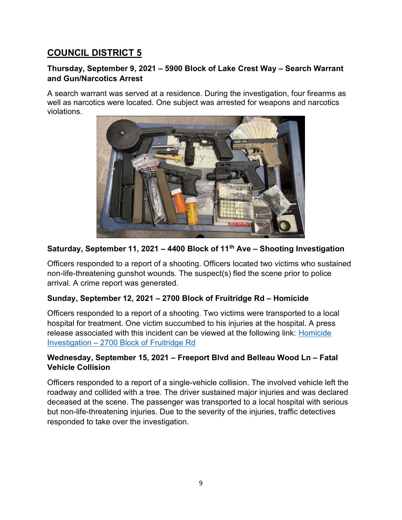#### Thursday, September 9, 2021 – 5900 Block of Lake Crest Way – Search Warrant and Gun/Narcotics Arrest

A search warrant was served at a residence. During the investigation, four firearms as well as narcotics were located. One subject was arrested for weapons and narcotics violations.



# Saturday, September 11, 2021 - 4400 Block of 11<sup>th</sup> Ave - Shooting Investigation

Officers responded to a report of a shooting. Officers located two victims who sustained non-life-threatening gunshot wounds. The suspect(s) fled the scene prior to police arrival. A crime report was generated.

### Sunday, September 12, 2021 – 2700 Block of Fruitridge Rd – Homicide

Officers responded to a report of a shooting. Two victims were transported to a local hospital for treatment. One victim succumbed to his injuries at the hospital. A press release associated with this incident can be viewed at the following link: Homicide Investigation – 2700 Block of Fruitridge Rd

# Wednesday, September 15, 2021 – Freeport Blvd and Belleau Wood Ln – Fatal Vehicle Collision

Officers responded to a report of a single-vehicle collision. The involved vehicle left the roadway and collided with a tree. The driver sustained major injuries and was declared deceased at the scene. The passenger was transported to a local hospital with serious but non-life-threatening injuries. Due to the severity of the injuries, traffic detectives responded to take over the investigation.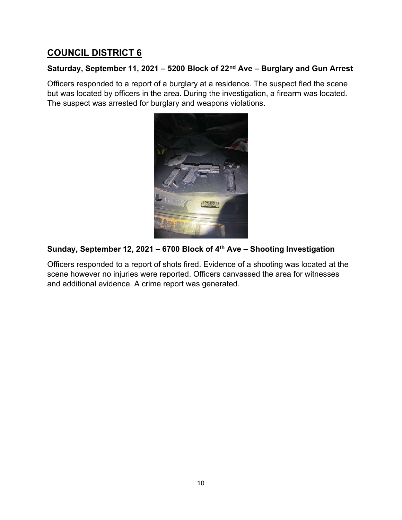## Saturday, September 11, 2021 – 5200 Block of 22<sup>nd</sup> Ave – Burglary and Gun Arrest

Officers responded to a report of a burglary at a residence. The suspect fled the scene but was located by officers in the area. During the investigation, a firearm was located. The suspect was arrested for burglary and weapons violations.



# Sunday, September 12, 2021 - 6700 Block of 4<sup>th</sup> Ave - Shooting Investigation

Officers responded to a report of shots fired. Evidence of a shooting was located at the scene however no injuries were reported. Officers canvassed the area for witnesses and additional evidence. A crime report was generated.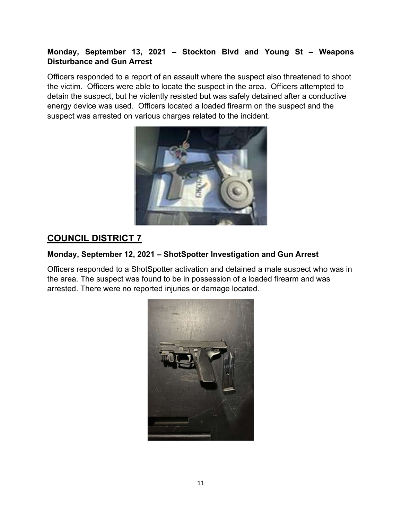## Monday, September 13, 2021 – Stockton Blvd and Young St – Weapons Disturbance and Gun Arrest

Officers responded to a report of an assault where the suspect also threatened to shoot the victim. Officers were able to locate the suspect in the area. Officers attempted to detain the suspect, but he violently resisted but was safely detained after a conductive energy device was used. Officers located a loaded firearm on the suspect and the suspect was arrested on various charges related to the incident.



# COUNCIL DISTRICT 7

# Monday, September 12, 2021 – ShotSpotter Investigation and Gun Arrest

Officers responded to a ShotSpotter activation and detained a male suspect who was in the area. The suspect was found to be in possession of a loaded firearm and was arrested. There were no reported injuries or damage located.